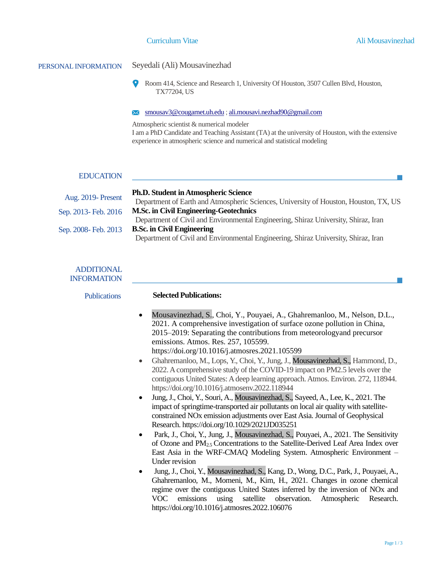**I** 

# PERSONAL INFORMATION Seyedali (Ali) Mousavinezhad

 $\bullet$ Room 414, Science and Research 1, University Of Houston, 3507 Cullen Blvd, Houston, TX77204, US

#### [smousav3@cougarnet.uh.edu](mailto:smousav3@cougarnet.uh.edu) ; [ali.mousavi.nezhad90@gmail.com](mailto:ali.mousavi.nezhad90@gmail.com)

Atmospheric scientist & numerical modeler I am a PhD Candidate and Teaching Assistant (TA) at the university of Houston, with the extensive experience in atmospheric science and numerical and statistical modeling

### EDUCATION

| <b>Aug. 2019-Present</b> | <b>Ph.D. Student in Atmospheric Science</b>                                          |
|--------------------------|--------------------------------------------------------------------------------------|
|                          | Department of Earth and Atmospheric Sciences, University of Houston, Houston, TX, US |
| Sep. 2013- Feb. 2016     | <b>M.Sc. in Civil Engineering-Geotechnics</b>                                        |
|                          | Department of Civil and Environmental Engineering, Shiraz University, Shiraz, Iran   |
| Sep. 2008- Feb. 2013     | <b>B.Sc. in Civil Engineering</b>                                                    |
|                          | Department of Civil and Environmental Engineering, Shiraz University, Shiraz, Iran   |

### ADDITIONAL INFORMATION

| JNIVIAI IUIN        |                                                                                                                                                                                                                                                                                                                                                                                                                                                                                                                                                                                                                                                                                                                                                                                                                                                                                                                                                                                                                                                                                                                                                                                                                                                                                                                                                                                                                                                                                                                                                                                                                                                                                                                |
|---------------------|----------------------------------------------------------------------------------------------------------------------------------------------------------------------------------------------------------------------------------------------------------------------------------------------------------------------------------------------------------------------------------------------------------------------------------------------------------------------------------------------------------------------------------------------------------------------------------------------------------------------------------------------------------------------------------------------------------------------------------------------------------------------------------------------------------------------------------------------------------------------------------------------------------------------------------------------------------------------------------------------------------------------------------------------------------------------------------------------------------------------------------------------------------------------------------------------------------------------------------------------------------------------------------------------------------------------------------------------------------------------------------------------------------------------------------------------------------------------------------------------------------------------------------------------------------------------------------------------------------------------------------------------------------------------------------------------------------------|
| <b>Publications</b> | <b>Selected Publications:</b>                                                                                                                                                                                                                                                                                                                                                                                                                                                                                                                                                                                                                                                                                                                                                                                                                                                                                                                                                                                                                                                                                                                                                                                                                                                                                                                                                                                                                                                                                                                                                                                                                                                                                  |
|                     | Mousavinezhad, S., Choi, Y., Pouyaei, A., Ghahremanloo, M., Nelson, D.L.,<br>$\bullet$<br>2021. A comprehensive investigation of surface ozone pollution in China,<br>2015–2019: Separating the contributions from meteorologyand precursor<br>emissions. Atmos. Res. 257, 105599.<br>https://doi.org/10.1016/j.atmosres.2021.105599<br>Ghahremanloo, M., Lops, Y., Choi, Y., Jung, J., Mousavinezhad, S., Hammond, D.,<br>$\bullet$<br>2022. A comprehensive study of the COVID-19 impact on PM2.5 levels over the<br>contiguous United States: A deep learning approach. Atmos. Environ. 272, 118944.<br>https://doi.org/10.1016/j.atmosenv.2022.118944<br>Jung, J., Choi, Y., Souri, A., Mousavinezhad, S., Sayeed, A., Lee, K., 2021. The<br>$\bullet$<br>impact of springtime-transported air pollutants on local air quality with satellite-<br>constrained NO <sub>x</sub> emission adjustments over East Asia. Journal of Geophysical<br>Research. https://doi.org/10.1029/2021JD035251<br>Park, J., Choi, Y., Jung, J., Mousavinezhad, S., Pouyaei, A., 2021. The Sensitivity<br>٠<br>of Ozone and PM <sub>2.5</sub> Concentrations to the Satellite-Derived Leaf Area Index over<br>East Asia in the WRF-CMAQ Modeling System. Atmospheric Environment -<br>Under revision<br>Jung, J., Choi, Y., Mousavinezhad, S., Kang, D., Wong, D.C., Park, J., Pouyaei, A.,<br>$\bullet$<br>Ghahremanloo, M., Momeni, M., Kim, H., 2021. Changes in ozone chemical<br>regime over the contiguous United States inferred by the inversion of NO <sub>x</sub> and<br><b>VOC</b><br>emissions<br>using<br>observation.<br>satellite<br>Atmospheric<br>Research.<br>https://doi.org/10.1016/j.atmosres.2022.106076 |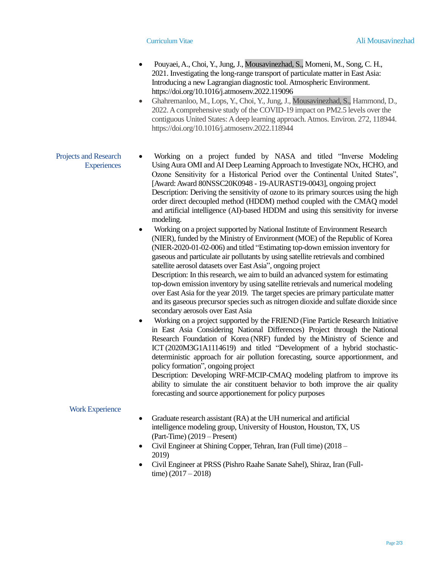- Pouyaei, A., Choi, Y., Jung, J., Mousavinezhad, S., Momeni, M., Song, C. H., 2021. Investigating the long-range transport of particulate matter in East Asia: Introducing a new Lagrangian diagnostic tool. Atmospheric Environment. https://doi.org/10.1016/j.atmosenv.2022.119096
- Ghahremanloo, M., Lops, Y., Choi, Y., Jung, J., Mousavinezhad, S., Hammond, D., 2022. A comprehensive study of the COVID-19 impact on PM2.5 levels over the contiguous United States: A deep learning approach. Atmos. Environ. 272, 118944. https://doi.org/10.1016/j.atmosenv.2022.118944

#### Projects and Research **Experiences** • Working on a project funded by NASA and titled "Inverse Modeling UsingAura OMI andAI Deep Learning Approach to Investigate NOx, HCHO, and Ozone Sensitivity for a Historical Period over the Continental United States", [Award: Award 80NSSC20K0948 - 19-AURAST19-0043], ongoing project Description: Deriving the sensitivity of ozone to its primary sources using the high order direct decoupled method (HDDM) method coupled with the CMAQ model and artificial intelligence (AI)-based HDDM and using this sensitivity for inverse modeling.

• Working on a project supported by National Institute of Environment Research (NIER), funded by the Ministry of Environment (MOE) of the Republic of Korea (NIER-2020-01-02-006) and titled "Estimating top-down emission inventory for gaseous and particulate air pollutants by using satellite retrievals and combined satellite aerosol datasets over East Asia", ongoing project

Description: In this research, we aim to build an advanced system for estimating top-down emission inventory by using satellite retrievals and numerical modeling over East Asia for the year 2019. The target species are primary particulate matter and its gaseous precursor species such as nitrogen dioxide and sulfate dioxide since secondary aerosols over East Asia

• Working on a project supported by the FRIEND (Fine Particle Research Initiative in East Asia Considering National Differences) Project through the National Research Foundation of Korea (NRF) funded by the Ministry of Science and ICT [\(2020M3G1A1114619\)](https://www.sciencedirect.com/science/article/pii/S0169809521001514#gts0015) and titled "Development of a hybrid stochasticdeterministic approach for air pollution forecasting, source apportionment, and policy formation", ongoing project

Description: Developing WRF-MCIP-CMAQ modeling platfrom to improve its ability to simulate the air constituent behavior to both improve the air quality forecasting and source apportionement for policy purposes

## Work Experience

- Graduate research assistant (RA) at the UH numerical and artificial intelligence modeling group, University of Houston, Houston, TX, US (Part-Time) (2019 – Present)
- Civil Engineer at Shining Copper, Tehran, Iran (Full time) (2018 2019)
- Civil Engineer at PRSS (Pishro Raahe Sanate Sahel), Shiraz, Iran (Fulltime)  $(2017 - 2018)$